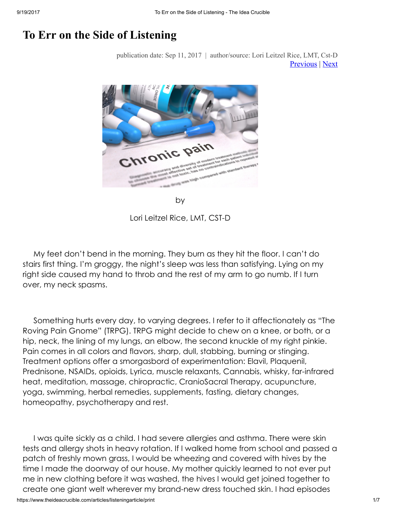## To Err on the Side of Listening

publication date: Sep 11, 2017 | author/source: Lori Leitzel Rice, LMT, Cst-D [Previous](https://www.theideacrucible.com/articles/lori) | [Next](https://www.theideacrucible.com/articles/eval)



by

Lori Leitzel Rice, LMT, CST-D

My feet don't bend in the morning. They burn as they hit the floor. I can't do stairs first thing. I'm groggy, the night's sleep was less than satisfying. Lying on my right side caused my hand to throb and the rest of my arm to go numb. If I turn over, my neck spasms.

Something hurts every day, to varying degrees. I refer to it affectionately as "The Roving Pain Gnome" (TRPG). TRPG might decide to chew on a knee, or both, or a hip, neck, the lining of my lungs, an elbow, the second knuckle of my right pinkie. Pain comes in all colors and flavors, sharp, dull, stabbing, burning or stinging. Treatment options offer a smorgasbord of experimentation: Elavil, Plaquenil, Prednisone, NSAIDs, opioids, Lyrica, muscle relaxants, Cannabis, whisky, far-infrared heat, meditation, massage, chiropractic, CranioSacral Therapy, acupuncture, yoga, swimming, herbal remedies, supplements, fasting, dietary changes, homeopathy, psychotherapy and rest.

I was quite sickly as a child. I had severe allergies and asthma. There were skin tests and allergy shots in heavy rotation. If I walked home from school and passed a patch of freshly mown grass, I would be wheezing and covered with hives by the time I made the doorway of our house. My mother quickly learned to not ever put me in new clothing before it was washed, the hives I would get joined together to create one giant welt wherever my brand-new dress touched skin. I had episodes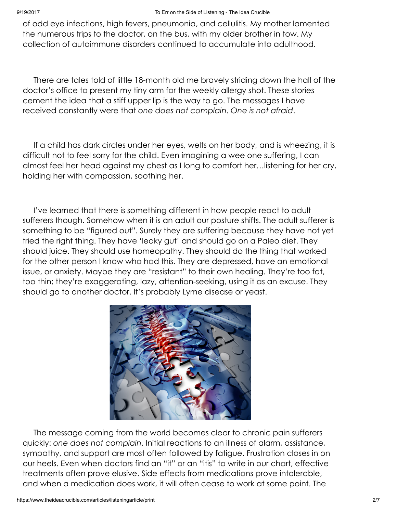of odd eye infections, high fevers, pneumonia, and cellulitis. My mother lamented the numerous trips to the doctor, on the bus, with my older brother in tow. My collection of autoimmune disorders continued to accumulate into adulthood.

There are tales told of little 18-month old me bravely striding down the hall of the doctor's office to present my tiny arm for the weekly allergy shot. These stories cement the idea that a stiff upper lip is the way to go. The messages I have received constantly were that one does not complain. One is not afraid.

If a child has dark circles under her eyes, welts on her body, and is wheezing, it is difficult not to feel sorry for the child. Even imagining a wee one suffering, I can almost feel her head against my chest as I long to comfort her…listening for her cry, holding her with compassion, soothing her.

I've learned that there is something different in how people react to adult sufferers though. Somehow when it is an adult our posture shifts. The adult sufferer is something to be "figured out". Surely they are suffering because they have not yet tried the right thing. They have 'leaky gut' and should go on a Paleo diet. They should juice. They should use homeopathy. They should do the thing that worked for the other person I know who had this. They are depressed, have an emotional issue, or anxiety. Maybe they are "resistant" to their own healing. They're too fat, too thin; they're exaggerating, lazy, attention-seeking, using it as an excuse. They should go to another doctor. It's probably Lyme disease or yeast.



The message coming from the world becomes clear to chronic pain sufferers quickly: one does not complain. Initial reactions to an illness of alarm, assistance, sympathy, and support are most often followed by fatigue. Frustration closes in on our heels. Even when doctors find an "it" or an "itis" to write in our chart, effective treatments often prove elusive. Side effects from medications prove intolerable, and when a medication does work, it will often cease to work at some point. The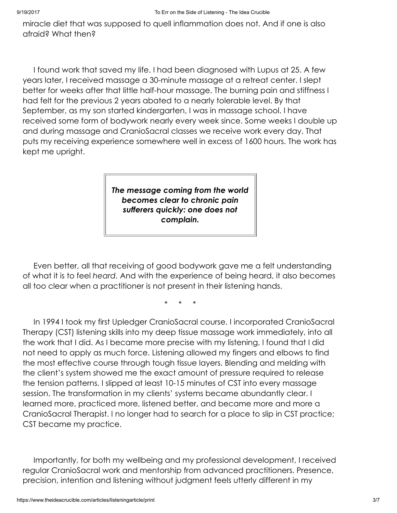miracle diet that was supposed to quell inflammation does not. And if one is also afraid? What then?

I found work that saved my life. I had been diagnosed with Lupus at 25. A few years later, I received massage a 30-minute massage at a retreat center. I slept better for weeks after that little half-hour massage. The burning pain and stiffness I had felt for the previous 2 years abated to a nearly tolerable level. By that September, as my son started kindergarten, I was in massage school. I have received some form of bodywork nearly every week since. Some weeks I double up and during massage and CranioSacral classes we receive work every day. That puts my receiving experience somewhere well in excess of 1600 hours. The work has kept me upright.

> The message coming from the world becomes clear to chronic pain sufferers quickly: one does not complain.

Even better, all that receiving of good bodywork gave me a felt understanding of what it is to feel heard. And with the experience of being heard, it also becomes all too clear when a practitioner is not present in their listening hands.

\* \* \*

In 1994 I took my first Upledger CranioSacral course. I incorporated CranioSacral Therapy (CST) listening skills into my deep tissue massage work immediately, into all the work that I did. As I became more precise with my listening, I found that I did not need to apply as much force. Listening allowed my fingers and elbows to find the most effective course through tough tissue layers. Blending and melding with the client's system showed me the exact amount of pressure required to release the tension patterns. I slipped at least 10-15 minutes of CST into every massage session. The transformation in my clients' systems became abundantly clear. I learned more, practiced more, listened better, and became more and more a CranioSacral Therapist. I no longer had to search for a place to slip in CST practice; CST became my practice.

Importantly, for both my wellbeing and my professional development, I received regular CranioSacral work and mentorship from advanced practitioners. Presence, precision, intention and listening without judgment feels utterly different in my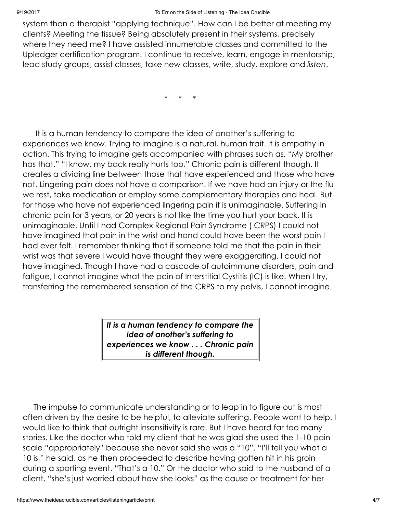system than a therapist "applying technique". How can I be better at meeting my clients? Meeting the tissue? Being absolutely present in their systems, precisely where they need me? I have assisted innumerable classes and committed to the Upledger certification program. I continue to receive, learn, engage in mentorship, lead study groups, assist classes, take new classes, write, study, explore and listen.

\* \* \*

It is a human tendency to compare the idea of another's suffering to experiences we know. Trying to imagine is a natural, human trait. It is empathy in action. This trying to imagine gets accompanied with phrases such as, "My brother has that." "I know, my back really hurts too." Chronic pain is different though. It creates a dividing line between those that have experienced and those who have not. Lingering pain does not have a comparison. If we have had an injury or the flu we rest, take medication or employ some complementary therapies and heal. But for those who have not experienced lingering pain it is unimaginable. Suffering in chronic pain for 3 years, or 20 years is not like the time you hurt your back. It is unimaginable. Until I had Complex Regional Pain Syndrome ( CRPS) I could not have imagined that pain in the wrist and hand could have been the worst pain I had ever felt. I remember thinking that if someone told me that the pain in their wrist was that severe I would have thought they were exaggerating. I could not have imagined. Though I have had a cascade of autoimmune disorders, pain and fatigue, I cannot imagine what the pain of Interstitial Cystitis (IC) is like. When I try, transferring the remembered sensation of the CRPS to my pelvis, I cannot imagine.

> It is a human tendency to compare the idea of another's suffering to experiences we know . . . Chronic pain is different though.

The impulse to communicate understanding or to leap in to figure out is most often driven by the desire to be helpful, to alleviate suffering. People want to help. I would like to think that outright insensitivity is rare. But I have heard far too many stories. Like the doctor who told my client that he was glad she used the 1-10 pain scale "appropriately" because she never said she was a "10". "I'll tell you what a 10 is," he said, as he then proceeded to describe having gotten hit in his groin during a sporting event. "That's a 10." Or the doctor who said to the husband of a client, "she's just worried about how she looks" as the cause or treatment for her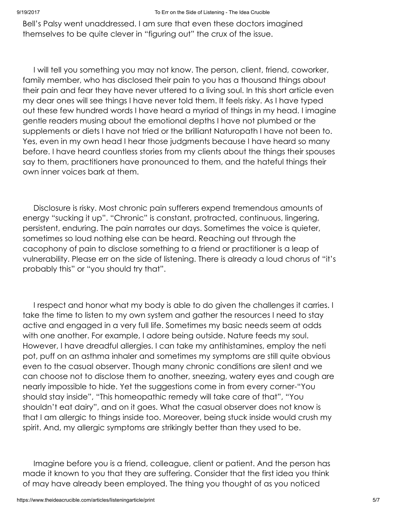Bell's Palsy went unaddressed. I am sure that even these doctors imagined themselves to be quite clever in "figuring out" the crux of the issue.

I will tell you something you may not know. The person, client, friend, coworker, family member, who has disclosed their pain to you has a thousand things about their pain and fear they have never uttered to a living soul. In this short article even my dear ones will see things I have never told them. It feels risky. As I have typed out these few hundred words I have heard a myriad of things in my head. I imagine gentle readers musing about the emotional depths I have not plumbed or the supplements or diets I have not tried or the brilliant Naturopath I have not been to. Yes, even in my own head I hear those judgments because I have heard so many before. I have heard countless stories from my clients about the things their spouses say to them, practitioners have pronounced to them, and the hateful things their own inner voices bark at them.

Disclosure is risky. Most chronic pain sufferers expend tremendous amounts of energy "sucking it up". "Chronic" is constant, protracted, continuous, lingering, persistent, enduring. The pain narrates our days. Sometimes the voice is quieter, sometimes so loud nothing else can be heard. Reaching out through the cacophony of pain to disclose something to a friend or practitioner is a leap of vulnerability. Please err on the side of listening. There is already a loud chorus of "it's probably this" or "you should try that".

I respect and honor what my body is able to do given the challenges it carries. I take the time to listen to my own system and gather the resources I need to stay active and engaged in a very full life. Sometimes my basic needs seem at odds with one another. For example, I adore being outside. Nature feeds my soul. However, I have dreadful allergies. I can take my antihistamines, employ the neti pot, puff on an asthma inhaler and sometimes my symptoms are still quite obvious even to the casual observer. Though many chronic conditions are silent and we can choose not to disclose them to another, sneezing, watery eyes and cough are nearly impossible to hide. Yet the suggestions come in from every corner-"You should stay inside", "This homeopathic remedy will take care of that", "You shouldn't eat dairy", and on it goes. What the casual observer does not know is that I am allergic to things inside too. Moreover, being stuck inside would crush my spirit. And, my allergic symptoms are strikingly better than they used to be.

Imagine before you is a friend, colleague, client or patient. And the person has made it known to you that they are suffering. Consider that the first idea you think of may have already been employed. The thing you thought of as you noticed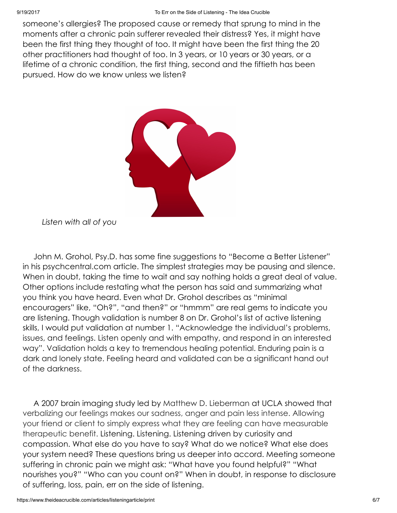someone's allergies? The proposed cause or remedy that sprung to mind in the moments after a chronic pain sufferer revealed their distress? Yes, it might have been the first thing they thought of too. It might have been the first thing the 20 other practitioners had thought of too. In 3 years, or 10 years or 30 years, or a lifetime of a chronic condition, the first thing, second and the fiftieth has been pursued. How do we know unless we listen?



Listen with all of you

John M. Grohol, Psy.D. has some fine suggestions to "Become a Better Listener" in his psychcentral.com article. The simplest strategies may be pausing and silence. When in doubt, taking the time to wait and say nothing holds a great deal of value. Other options include restating what the person has said and summarizing what you think you have heard. Even what Dr. Grohol describes as "minimal encouragers" like, "Oh?", "and then?" or "hmmm" are real gems to indicate you are listening. Though validation is number 8 on Dr. Grohol's list of active listening skills, I would put validation at number 1. "Acknowledge the individual's problems, issues, and feelings. Listen openly and with empathy, and respond in an interested way". Validation holds a key to tremendous healing potential. Enduring pain is a dark and lonely state. Feeling heard and validated can be a significant hand out of the darkness.

A 2007 brain imaging study led by Matthew D. Lieberman at UCLA showed that verbalizing our feelings makes our sadness, anger and pain less intense. Allowing your friend or client to simply express what they are feeling can have measurable therapeutic benefit. Listening. Listening. Listening driven by curiosity and compassion. What else do you have to say? What do we notice? What else does your system need? These questions bring us deeper into accord. Meeting someone suffering in chronic pain we might ask: "What have you found helpful?" "What nourishes you?" "Who can you count on?" When in doubt, in response to disclosure of suffering, loss, pain, err on the side of listening.